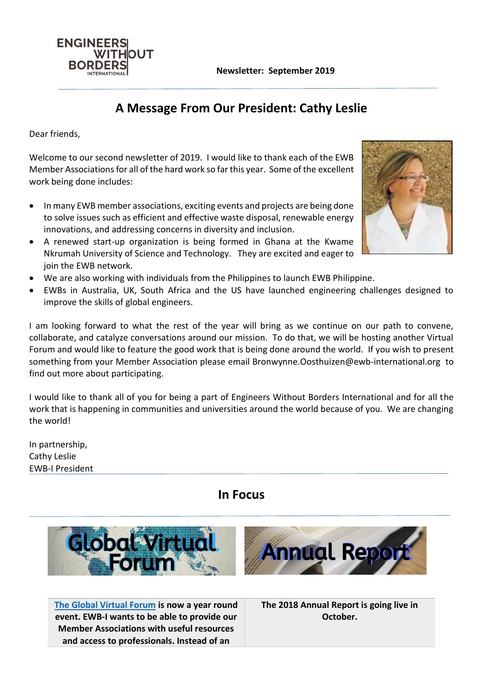**Newsletter: September 2019**



Dear friends,

**ENGINEERS** 

**BORDERS** 

WITHOUT

Welcome to our second newsletter of 2019. I would like to thank each of the EWB Member Associations for all of the hard work so far this year. Some of the excellent work being done includes:

- In many EWB member associations, exciting events and projects are being done to solve issues such as efficient and effective waste disposal, renewable energy innovations, and addressing concerns in diversity and inclusion.
- A renewed start-up organization is being formed in Ghana at the Kwame Nkrumah University of Science and Technology. They are excited and eager to join the EWB network.
- We are also working with individuals from the Philippines to launch EWB Philippine.
- EWBs in Australia, UK, South Africa and the US have launched engineering challenges designed to improve the skills of global engineers.

I am looking forward to what the rest of the year will bring as we continue on our path to convene, collaborate, and catalyze conversations around our mission. To do that, we will be hosting another Virtual Forum and would like to feature the good work that is being done around the world. If you wish to present something from your Member Association please email Bronwynne.Oosthuizen@ewb-international.org to find out more about participating.

I would like to thank all of you for being a part of Engineers Without Borders International and for all the work that is happening in communities and universities around the world because of you. We are changing the world!

In partnership, Cathy Leslie EWB-I President

**In Focus**



**[The Global Virtual Forum](http://ewb-international.com/virtual-forum/) is now a year round event. EWB-I wants to be able to provide our Member Associations with useful resources and access to professionals. Instead of an** 

**The 2018 Annual Report is going live in October.**

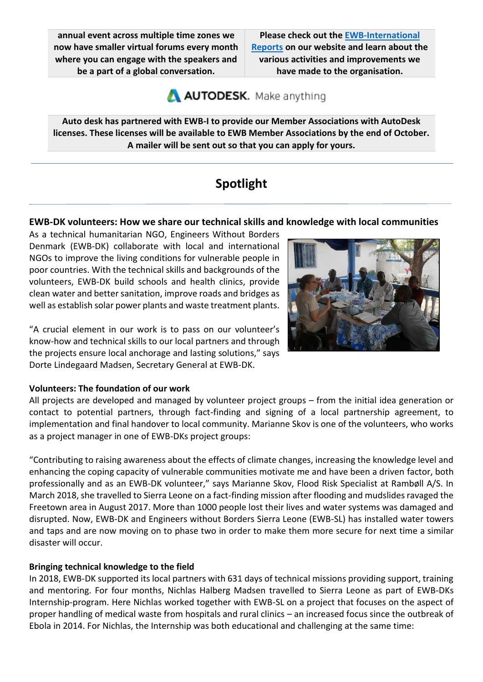**annual event across multiple time zones we now have smaller virtual forums every month where you can engage with the speakers and be a part of a global conversation.**

**Please check out the [EWB-International](http://ewb-international.com/reports/)  [Reports](http://ewb-international.com/reports/) on our website and learn about the various activities and improvements we have made to the organisation.**

AUTODESK. Make anything

**Auto desk has partnered with EWB-I to provide our Member Associations with AutoDesk licenses. These licenses will be available to EWB Member Associations by the end of October. A mailer will be sent out so that you can apply for yours.**

# **Spotlight**

### **EWB-DK volunteers: How we share our technical skills and knowledge with local communities**

As a technical humanitarian NGO, Engineers Without Borders Denmark (EWB-DK) collaborate with local and international NGOs to improve the living conditions for vulnerable people in poor countries. With the technical skills and backgrounds of the volunteers, EWB-DK build schools and health clinics, provide clean water and better sanitation, improve roads and bridges as well as establish solar power plants and waste treatment plants.

"A crucial element in our work is to pass on our volunteer's know-how and technical skills to our local partners and through the projects ensure local anchorage and lasting solutions," says Dorte Lindegaard Madsen, Secretary General at EWB-DK.

#### **Volunteers: The foundation of our work**

All projects are developed and managed by volunteer project groups – from the initial idea generation or contact to potential partners, through fact-finding and signing of a local partnership agreement, to implementation and final handover to local community. Marianne Skov is one of the volunteers, who works as a project manager in one of EWB-DKs project groups:

"Contributing to raising awareness about the effects of climate changes, increasing the knowledge level and enhancing the coping capacity of vulnerable communities motivate me and have been a driven factor, both professionally and as an EWB-DK volunteer," says Marianne Skov, Flood Risk Specialist at Rambøll A/S. In March 2018, she travelled to Sierra Leone on a fact-finding mission after flooding and mudslides ravaged the Freetown area in August 2017. More than 1000 people lost their lives and water systems was damaged and disrupted. Now, EWB-DK and Engineers without Borders Sierra Leone (EWB-SL) has installed water towers and taps and are now moving on to phase two in order to make them more secure for next time a similar disaster will occur.

#### **Bringing technical knowledge to the field**

In 2018, EWB-DK supported its local partners with 631 days of technical missions providing support, training and mentoring. For four months, Nichlas Halberg Madsen travelled to Sierra Leone as part of EWB-DKs Internship-program. Here Nichlas worked together with EWB-SL on a project that focuses on the aspect of proper handling of medical waste from hospitals and rural clinics – an increased focus since the outbreak of Ebola in 2014. For Nichlas, the Internship was both educational and challenging at the same time:

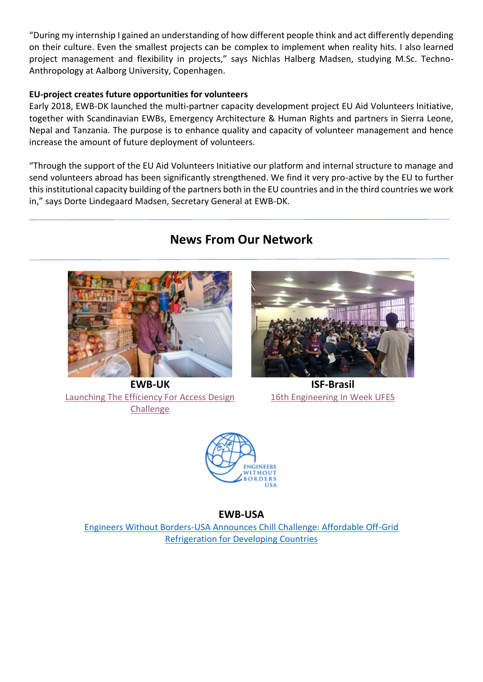"During my internship I gained an understanding of how different people think and act differently depending on their culture. Even the smallest projects can be complex to implement when reality hits. I also learned project management and flexibility in projects," says Nichlas Halberg Madsen, studying M.Sc. Techno-Anthropology at Aalborg University, Copenhagen.

#### **EU-project creates future opportunities for volunteers**

Early 2018, EWB-DK launched the multi-partner capacity development project EU Aid Volunteers Initiative, together with Scandinavian EWBs, Emergency Architecture & Human Rights and partners in Sierra Leone, Nepal and Tanzania. The purpose is to enhance quality and capacity of volunteer management and hence increase the amount of future deployment of volunteers.

"Through the support of the EU Aid Volunteers Initiative our platform and internal structure to manage and send volunteers abroad has been significantly strengthened. We find it very pro-active by the EU to further this institutional capacity building of the partners both in the EU countries and in the third countries we work in," says Dorte Lindegaard Madsen, Secretary General at EWB-DK.





**EWB-UK** [Launching](https://www.ewb-uk.org/efficiency-for-access-design-challenge/) The Efficiency For Access Design **[Challenge](https://www.ewb-uk.org/efficiency-for-access-design-challenge/)** 



**ISF-Brasil** [16th Engineering In](https://esf.org.br/eventos/) Week UFES



**EWB-USA**

[Engineers Without Borders-USA Announces Chill Challenge: Affordable Off-Grid](https://www.ewb-usa.org/chill-challenge/) [Refrigeration for Developing Countries](https://www.ewb-usa.org/chill-challenge/)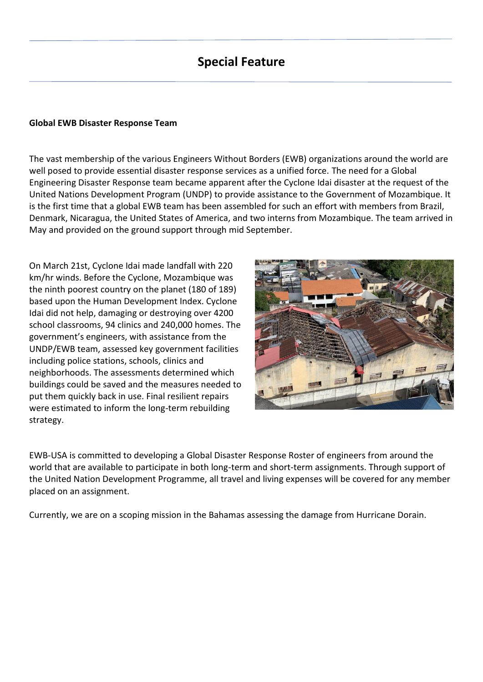## **Special Feature**

#### **Global EWB Disaster Response Team**

The vast membership of the various Engineers Without Borders (EWB) organizations around the world are well posed to provide essential disaster response services as a unified force. The need for a Global Engineering Disaster Response team became apparent after the Cyclone Idai disaster at the request of the United Nations Development Program (UNDP) to provide assistance to the Government of Mozambique. It is the first time that a global EWB team has been assembled for such an effort with members from Brazil, Denmark, Nicaragua, the United States of America, and two interns from Mozambique. The team arrived in May and provided on the ground support through mid September.

On March 21st, Cyclone Idai made landfall with 220 km/hr winds. Before the Cyclone, Mozambique was the ninth poorest country on the planet (180 of 189) based upon the Human Development Index. Cyclone Idai did not help, damaging or destroying over 4200 school classrooms, 94 clinics and 240,000 homes. The government's engineers, with assistance from the UNDP/EWB team, assessed key government facilities including police stations, schools, clinics and neighborhoods. The assessments determined which buildings could be saved and the measures needed to put them quickly back in use. Final resilient repairs were estimated to inform the long-term rebuilding strategy.



EWB-USA is committed to developing a Global Disaster Response Roster of engineers from around the world that are available to participate in both long-term and short-term assignments. Through support of the United Nation Development Programme, all travel and living expenses will be covered for any member placed on an assignment.

Currently, we are on a scoping mission in the Bahamas assessing the damage from Hurricane Dorain.